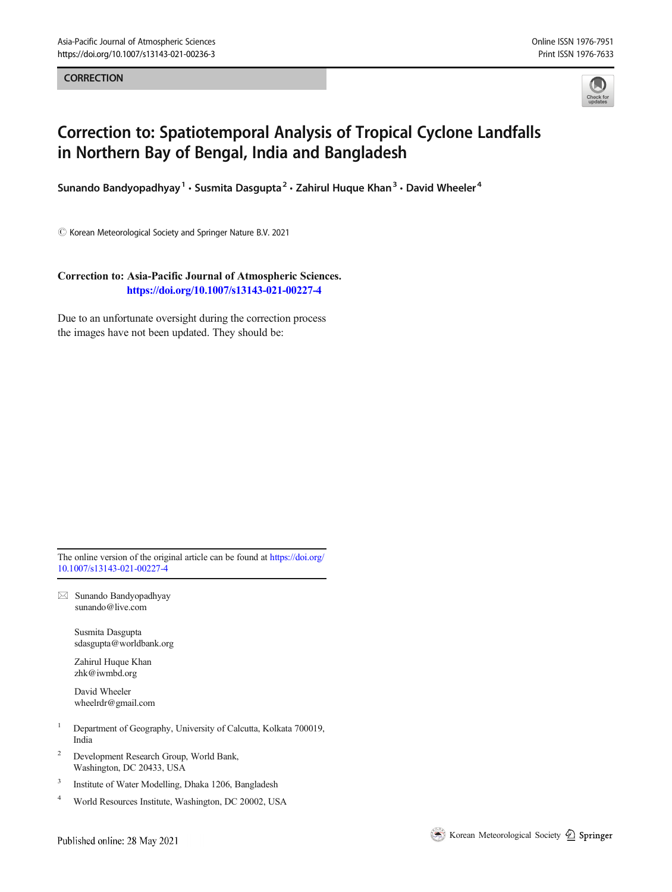**CORRECTION** 



## Correction to: Spatiotemporal Analysis of Tropical Cyclone Landfalls in Northern Bay of Bengal, India and Bangladesh

Sunando Bandyopadhyay<sup>1</sup> • Susmita Dasgupta<sup>2</sup> • Zahirul Huque Khan<sup>3</sup> • David Wheeler<sup>4</sup>

 $\odot$  Korean Meteorological Society and Springer Nature B.V. 2021

Correction to: Asia-Pacific Journal of Atmospheric Sciences. <https://doi.org/10.1007/s13143-021-00227-4>

Due to an unfortunate oversight during the correction process the images have not been updated. They should be:

The online version of the original article can be found at [https://doi.org/](https://doi.org/10.1007/s13143-021-00227-4) [10.1007/s13143-021-00227-4](https://doi.org/10.1007/s13143-021-00227-4)

 $\boxtimes$  Sunando Bandyopadhyay [sunando@live.com](mailto:sunando@live.com)

> Susmita Dasgupta sdasgupta@worldbank.org

Zahirul Huque Khan zhk@iwmbd.org

David Wheeler wheelrdr@gmail.com

- <sup>1</sup> Department of Geography, University of Calcutta, Kolkata 700019, India
- <sup>2</sup> Development Research Group, World Bank, Washington, DC 20433, USA
- 3 Institute of Water Modelling, Dhaka 1206, Bangladesh
- <sup>4</sup> World Resources Institute, Washington, DC 20002, USA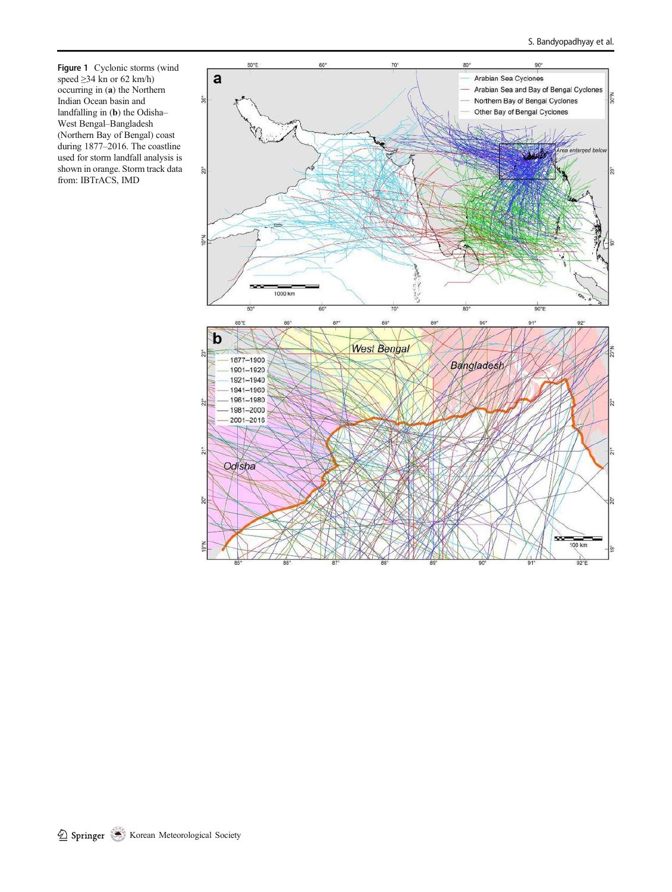Figure 1 Cyclonic storms (wind speed  $\geq$ 34 kn or 62 km/h) occurring in (a) the Northern Indian Ocean basin and landfalling in (b) the Odisha– West Bengal–Bangladesh (Northern Bay of Bengal) coast during 1877–2016. The coastline used for storm landfall analysis is shown in orange. Storm track data from: IBTrACS, IMD

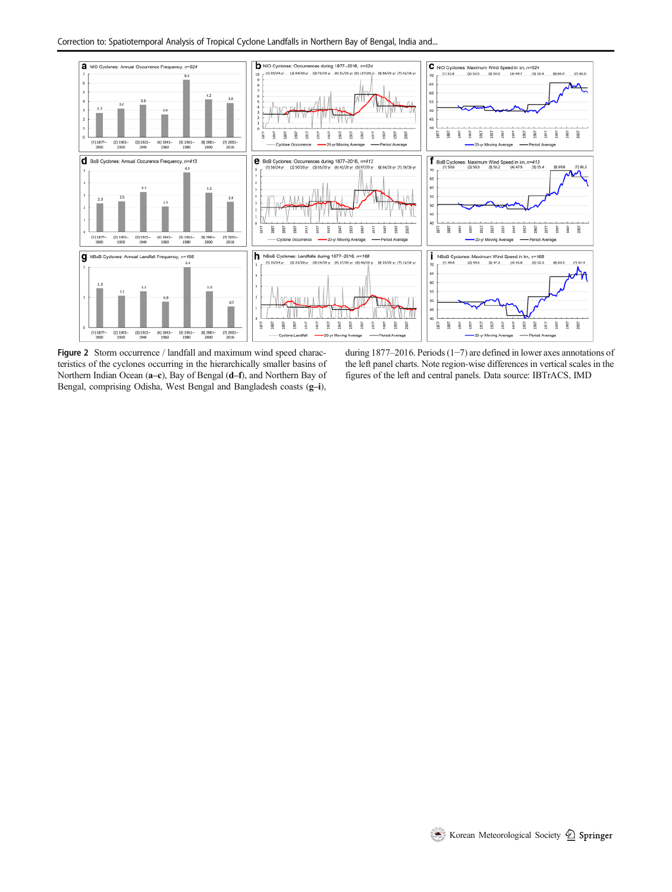

Figure 2 Storm occurrence / landfall and maximum wind speed characteristics of the cyclones occurring in the hierarchically smaller basins of Northern Indian Ocean (a–c), Bay of Bengal (d–f), and Northern Bay of Bengal, comprising Odisha, West Bengal and Bangladesh coasts (g-i),

during 1877–2016. Periods (1−7) are defined in lower axes annotations of the left panel charts. Note region-wise differences in vertical scales in the figures of the left and central panels. Data source: IBTrACS, IMD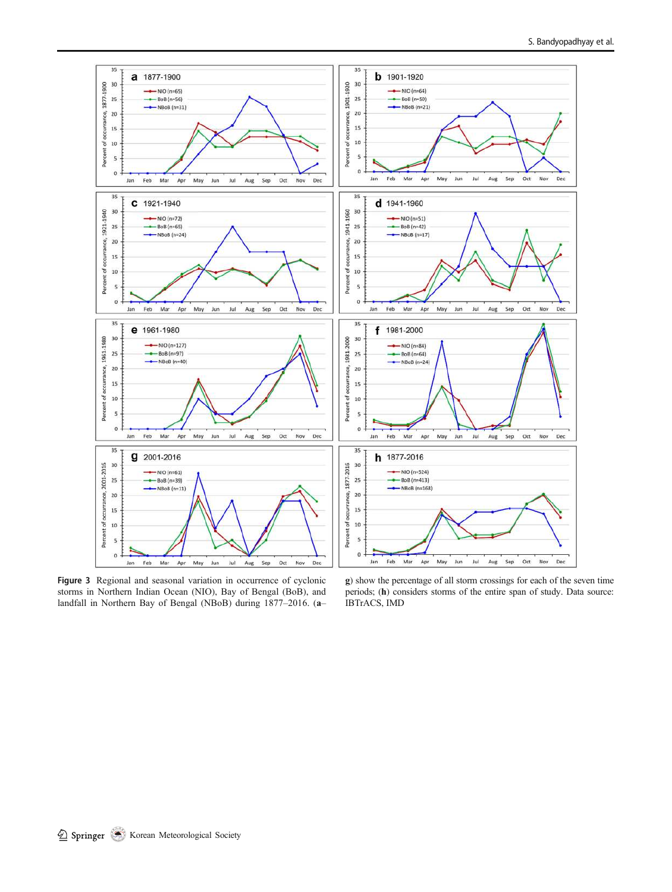

Figure 3 Regional and seasonal variation in occurrence of cyclonic storms in Northern Indian Ocean (NIO), Bay of Bengal (BoB), and landfall in Northern Bay of Bengal (NBoB) during 1877–2016. (a–

g) show the percentage of all storm crossings for each of the seven time periods; (h) considers storms of the entire span of study. Data source: IBTrACS, IMD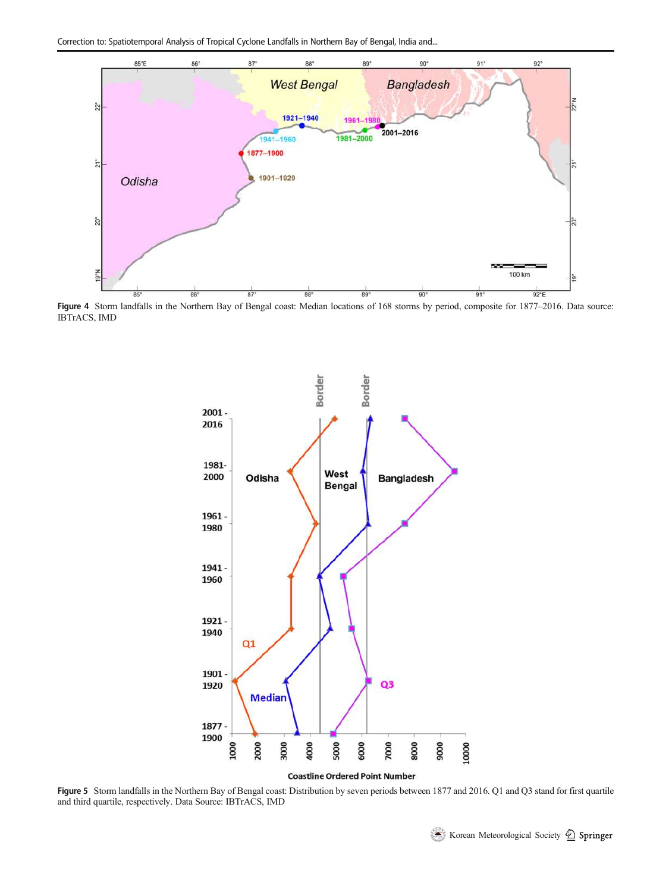

Figure 4 Storm landfalls in the Northern Bay of Bengal coast: Median locations of 168 storms by period, composite for 1877–2016. Data source: IBTrACS, IMD



Figure 5 Storm landfalls in the Northern Bay of Bengal coast: Distribution by seven periods between 1877 and 2016. Q1 and Q3 stand for first quartile and third quartile, respectively. Data Source: IBTrACS, IMD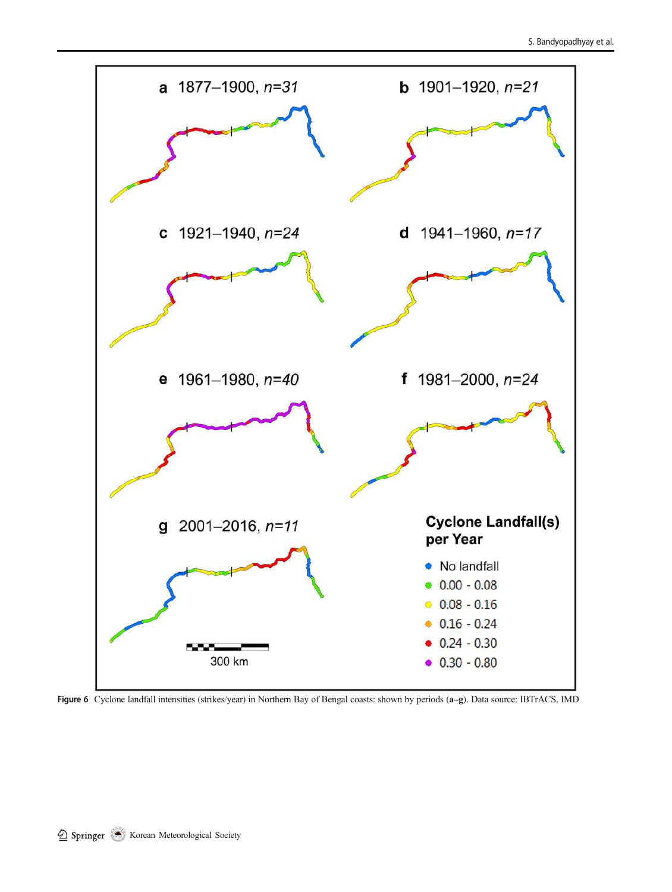

Figure 6 Cyclone landfall intensities (strikes/year) in Northern Bay of Bengal coasts: shown by periods (a–g). Data source: IBTrACS, IMD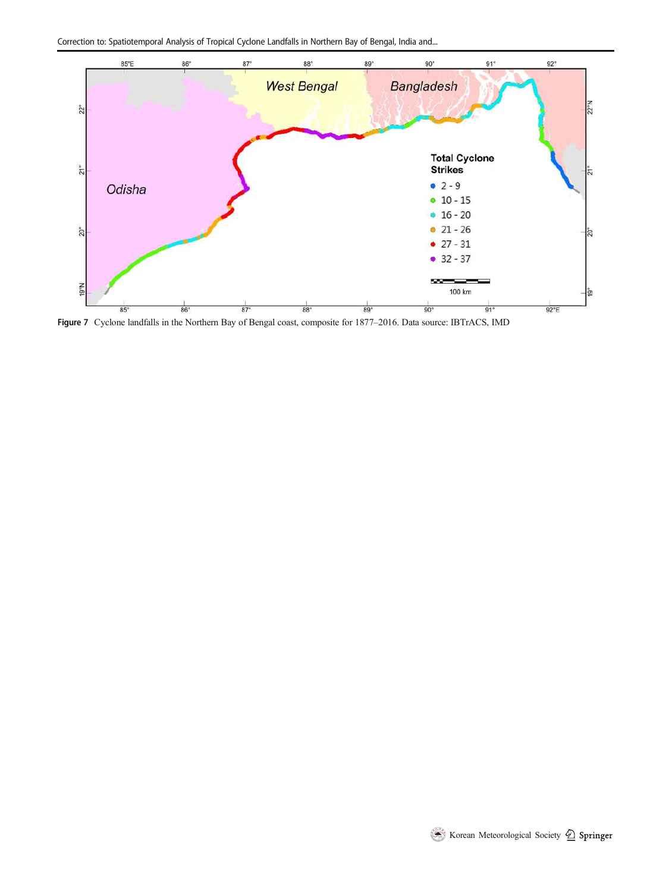Correction to: Spatiotemporal Analysis of Tropical Cyclone Landfalls in Northern Bay of Bengal, India and...



Figure 7 Cyclone landfalls in the Northern Bay of Bengal coast, composite for 1877–2016. Data source: IBTrACS, IMD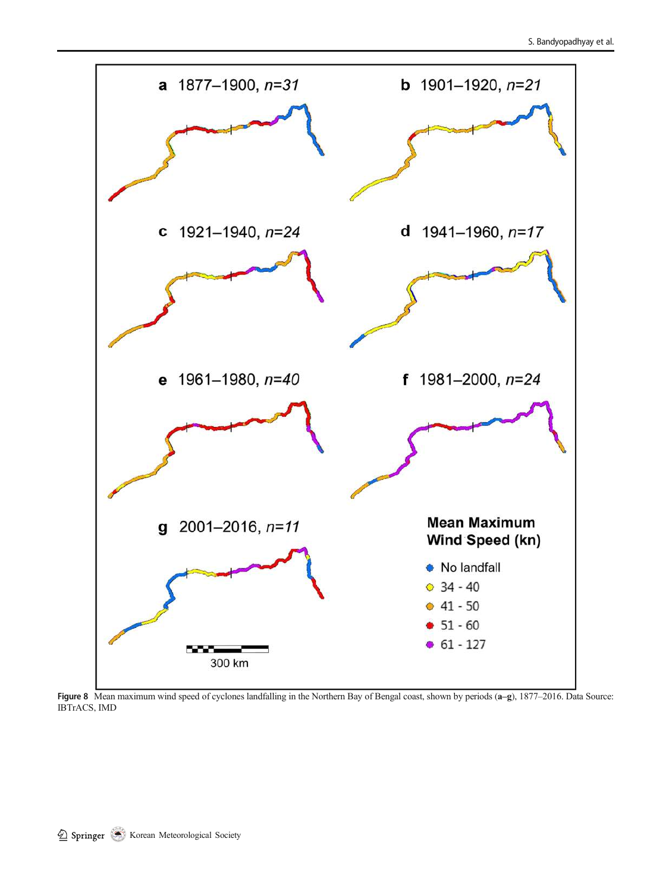

Figure 8 Mean maximum wind speed of cyclones landfalling in the Northern Bay of Bengal coast, shown by periods (a–g), 1877–2016. Data Source: IBTrACS, IMD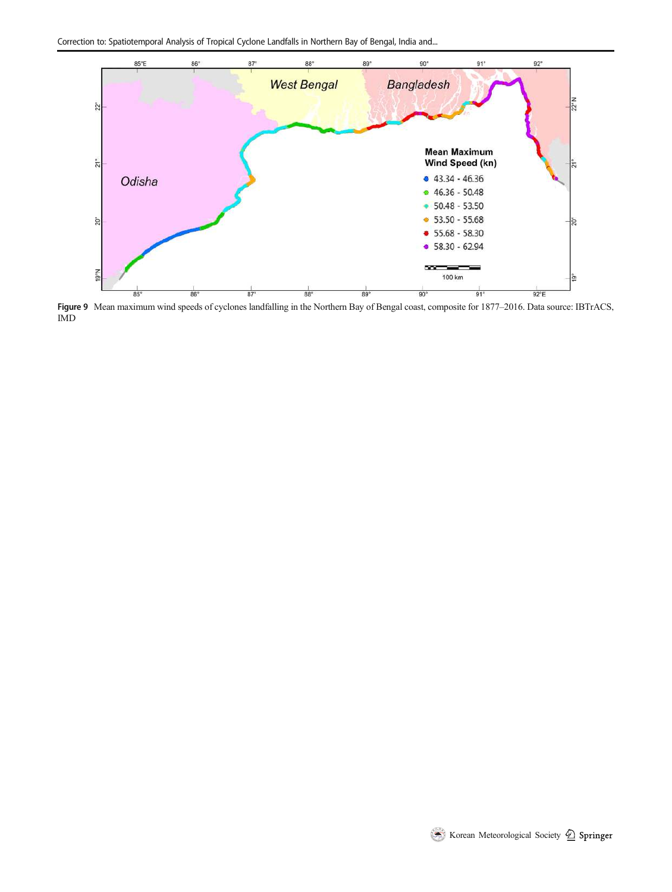Correction to: Spatiotemporal Analysis of Tropical Cyclone Landfalls in Northern Bay of Bengal, India and...



Figure 9 Mean maximum wind speeds of cyclones landfalling in the Northern Bay of Bengal coast, composite for 1877–2016. Data source: IBTrACS, IMD

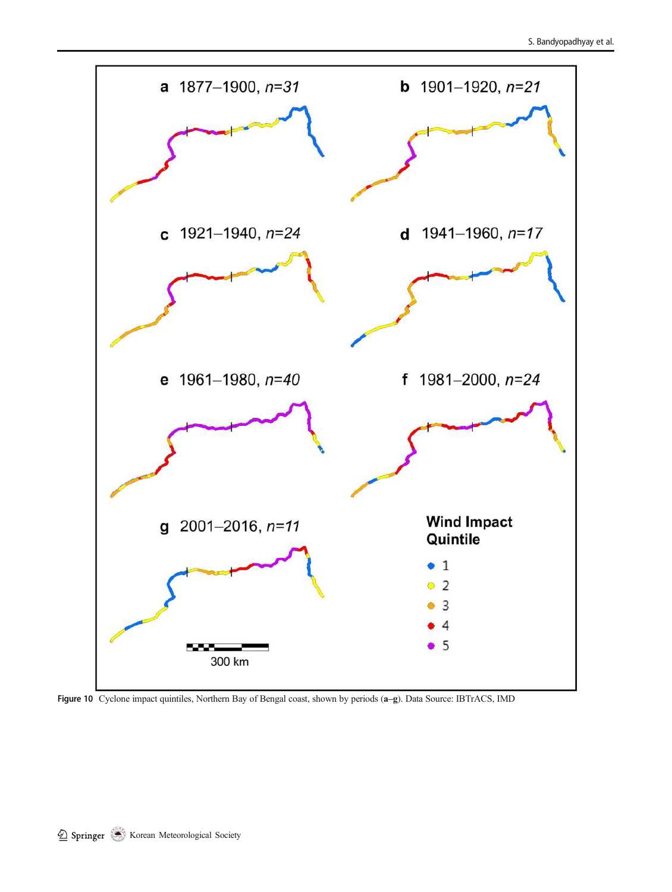

Figure 10 Cyclone impact quintiles, Northern Bay of Bengal coast, shown by periods (a–g). Data Source: IBTrACS, IMD